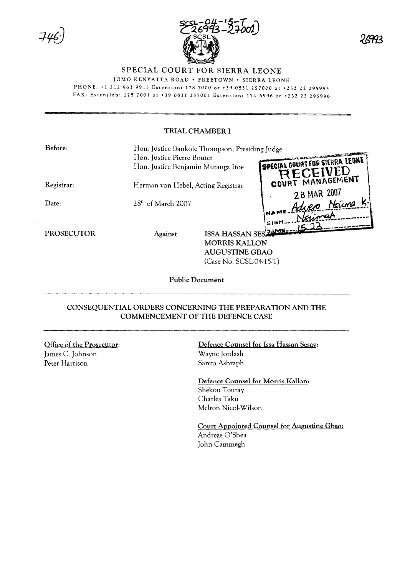

# SPECIAL COURT FOR SIERRA LEONE

JOMO KENYATTA ROAD· FREETOWN· SIERRA LEONE PHONE: +1 212 963 9915 Extension: 1787000 or +39 0831257000 or +232 22 295995

FAX: Extension: 1787001 or +39 0831257001 Extension: 1746996 or +232 22 295996

## TRIAL CHAMBER I

| Before:           | Hon. Justice Bankole Thompson, Presiding Judge                       |                           |                                                    |  |
|-------------------|----------------------------------------------------------------------|---------------------------|----------------------------------------------------|--|
|                   | Hon. Justice Pierre Boutet                                           |                           |                                                    |  |
|                   | Hon. Justice Benjamin Mutanga Itoe                                   |                           | <b>ISPECIAL COURT FOR STERRA LEONE</b><br>RECEIVED |  |
| Registrar:        | Herman von Hebel, Acting Registrar<br>28 <sup>th</sup> of March 2007 |                           | GOURT MANAGEMENT<br>28 MAR 2007                    |  |
| Date:             |                                                                      |                           | NAME Advera Naüma:                                 |  |
|                   |                                                                      |                           |                                                    |  |
| <b>PROSECUTOR</b> | Against                                                              |                           | ISSA HASSAN SES TUME  15:23                        |  |
|                   | <b>MORRIS KALLON</b>                                                 |                           |                                                    |  |
|                   | <b>AUGUSTINE GBAO</b>                                                |                           |                                                    |  |
|                   |                                                                      | $(Case No. SCSL-04-15-T)$ |                                                    |  |
|                   |                                                                      |                           |                                                    |  |

Public Document

## CONSEQUENTIAL ORDERS CONCERNING THE PREPARATION AND THE COMMENCEMENT OF THE DEFENCE CASE

## Office of the Prosecutor: James C. Johnson

Peter Harrison

Defence Counsel for Issa Hassan Sesay: Wayne Jordash Sareta Ashraph

Defence Counsel for Morris Kallon: Shekou Touray Charles Taku Melron Nicol-Wilson

Court Appointed Counsel for Augustine Gbao: Andreas O'Shea John Cammegh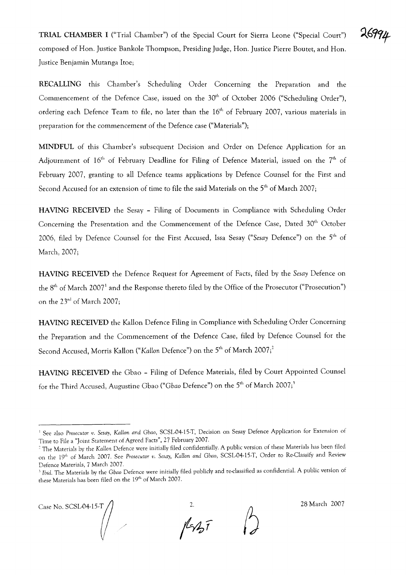**TRIAL CHAMBER I** ("Trial Chamber") of the Special Court for Sierra Leone ("Special Court") composed of Hon. Justice Bankole Thompson, Presiding Judge, Hon. Justice Pierre Boutet, and Hon. Justice Benjamin Mutanga Itoe;

**RECALLING** this Chamber's Scheduling Order Concerning the Preparation and the Commencement of the Defence Case, issued on the 30<sup>th</sup> of October 2006 ("Scheduling Order"), ordering each Defence Team to file, no later than the 16<sup>th</sup> of February 2007, various materials in preparation for the commencement of the Defence case ("Materials");

**MINDFUL** of this Chamber's subsequent Decision and Order on Defence Application for an Adjournment of  $16<sup>th</sup>$  of February Deadline for Filing of Defence Material, issued on the  $7<sup>th</sup>$  of February 2007, granting to all Defence teams applications by Defence Counsel for the First and Second Accused for an extension of time to file the said Materials on the 5<sup>th</sup> of March 2007;

**HAVING RECEIVED** the Sesay - Filing of Documents in Compliance with Scheduling Order Concerning the Presentation and the Commencement of the Defence Case, Dated 30<sup>th</sup> October 2006, filed by Defence Counsel for the First Accused, lssa Sesay *("Sesay* Defence") on the 5th of March, 2007;

**HAVING RECEIVED** the Defence Request for Agreement of Facts, filed by the *Sesay* Defence on the 8<sup>th</sup> of March 2007<sup>1</sup> and the Response thereto filed by the Office of the Prosecutor ("Prosecution") on the 23<sup>rd</sup> of March 2007;

**HAVING RECEIVED** the Kallon Defence Filing in Compliance with Scheduling Order Concerning the Preparation and the Commencement of the Defence Case, filed by Defence Counsel for the Second Accused, Morris Kallon ("*Kallon* Defence") on the 5<sup>th</sup> of March 2007;<sup>2</sup>

**HAVING RECEIVED** the Gbao - Filing of Defence Materials, filed by Court Appointed Counsel for the Third Accused, Augustine Gbao *("Gbaa* Defence") on the 5th of March 2007;'

<sup>&</sup>lt;sup>1</sup> See also Prosecutor v. Sesay, Kallon and Gbao, SCSL-04-15-T, Decision on Sesay Defence Application for Extension of Time to File a "joint Statement of Agreed Facts", 27 February 2007.

<sup>&</sup>lt;sup>2</sup> The Materials by the *Kallon* Defence were initially filed confidentially. A public version of these Materials has been filed on the 19<sup>th</sup> of March 2007. See Prosecutor v. Sesay, Kallon and Gbao, SCSL-04-15-T, Order to Re-Classify and Review Defence Materials, 7 March 2007.

<sup>&</sup>lt;sup>3</sup> Ibid. The Materials by the *Gbao* Defence were initially filed publicly and re-classified as confidential. A public version of these Materials has been filed on the 19<sup>th</sup> of March 2007.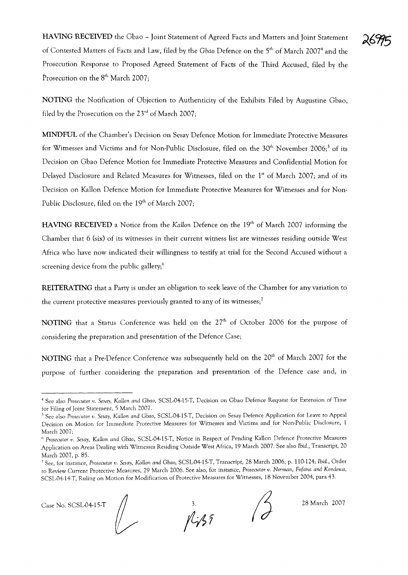**HAVING RECEIVED** the Gbao - Joint Statement of Agreed Facts and Matters and Joint Statement of Contested Matters of Facts and Law, filed by the *Gbaa* Defence on the 5th of March 20074 and the Prosecution Response to Proposed Agreed Statement of Facts of the Third Accused, filed by the Prosecution on the  $8<sup>th</sup>$  March 2007;

**NOTING** the Notification of Objection to Authenticity of the Exhibits Filed by Augustine Gbao, filed by the Prosecution on the  $23<sup>rd</sup>$  of March 2007;

**MINDFUL** of the Chamber's Decision on Sesay Defence Motion for Immediate Protective Measures for Witnesses and Victims and for Non-Public Disclosure, filed on the 30<sup>th</sup> November 2006;<sup>5</sup> of its Decision on Gbao Defence Motion for Immediate Protective Measures and Confidential Motion for Delayed Disclosure and Related Measures for Witnesses, filed on the 1st of March 2007; and of its Decision on Kallon Defence Motion for Immediate Protective Measures for Witnesses and for Non-Public Disclosure, filed on the 19<sup>th</sup> of March 2007;

**HAVING RECEIVED** a Notice from the *Kallon Defence on the 19<sup>th</sup> of March 2007 informing the* Chamber that 6 (six) of its witnesses in their current witness list are witnesses residing outside West Africa who have now indicated their willingness to testify at trial for the Second Accused without a screening device from the public gallery;<sup>6</sup>

**REITERATING** that a Party is under an obligation to seek leave of the Chamber for any variation to the current protective measures previously granted to any of its witnesses;<sup>7</sup>

**NOTING** that a Status Conference was held on the 27<sup>th</sup> of October 2006 for the purpose of considering the preparation and presentation of the Defence Case;

NOTING that a Pre-Defence Conference was subsequently held on the 20<sup>th</sup> of March 2007 for the purpose of further considering the preparation and presentation of the Defence case and, in

Case No. SCSL04-15-T  $\begin{matrix} 3. \\ 1/3.5 \end{matrix}$  28 March 2007

<sup>4</sup> See also *Prosecutor v. Sesay, Kallon and Gbao,* SCSL-04-15-T, Decision on Gbao Defence Request for Extension of Time for Filing of Joint Statement, 5 March 2007.

<sup>,</sup> See also *Prosecutor v. Sesay, Kallon and Gbao,* SCSL-04-15-T, Decision on Sesay Defence Application for Leave to Appeal Decision on Motion for Immediate Protective Measures for Witnesses and Victims and for Non-Public Disclosure, 1 March 2007;

<sup>(,</sup> *Prosecutor v. Sesay, Kallon and Gbao,* SCSL-04-15-T, Notice in Respect of Pending KaHan Defence Protective Measures Application on Areas Dealing with Witnesses Residing Outside West Africa, 19 March 2007. See also *Ibid.,* Transcript, 20 March 2007, p. 85.

<sup>J</sup> See, for instance, *Prosecutor v. Sesay, Kallon and Gbao,* SCSL-04-15-T, Transcript, 28 March 2006, p. 110-124; Ibid., Order to Review Current Protective Measures, 29 March 2006. See also, for instance, *Prosecutor v. Norman, Fofana and Kondewa,* SCSL-04-14-T, Ruling on Motion for Modification of Protective Measures for Witnesses, 18 November 2004, para 43.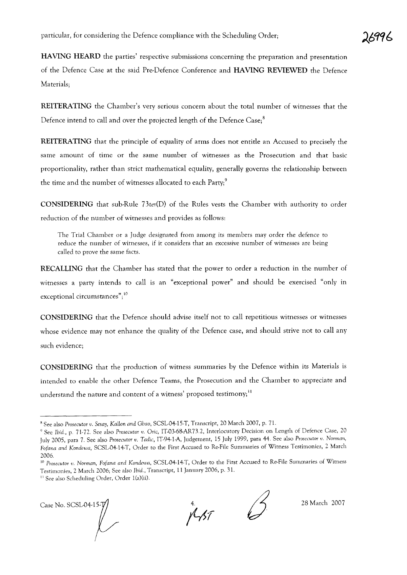**HAVING HEARD** the parties' respective submissions concerning the preparation and presentation of the Defence Case at the said Pre-Defence Conference and **HAVING REVIEWED** the Defence Materials;

**REITERATING** the Chamber's very serious concern about the total number of witnesses that the Defence intend to call and over the projected length of the Defence Case;<sup>8</sup>

**REITERATING** that the principle of equality of arms does not entitle an Accused to precisely the same amount of time or the same number of witnesses as the Prosecution and that basic proportionality, rather than strict mathematical equality, generally governs the relationship between the time and the number of witnesses allocated to each  $Party;$ <sup>9</sup>

**CONSIDERING** that sub-Rule 73ter(D) of the Rules vests the Chamber with authority to order reduction of the number of witnesses and provides as follows:

The Trial Chamber or a Judge designated from among its members may order the defence to reduce the number of witnesses, if it considers that an excessive number of witnesses are being called to prove the same facts.

**RECALLING** that the Chamber has stated that the power to order a reduction in the number of witnesses a party intends to call is an "exceptional power" and should be exercised "only in exceptional circumstances"; $^{10}$ 

**CONSIDERING** that the Defence should advise itself not to call repetitious witnesses or witnesses whose evidence may not enhance the quality of the Defence case, and should strive not to call any such evidence;

**CONSIDERING** that the production of witness summaries by the Defence within its Materials is intended to enable the other Defence Teams, the Prosecution and the Chamber to appreciate and understand the nature and content of a witness' proposed testimony;<sup>11</sup>

II See also Scheduling Order, Order l(a)(ii).



**j-,1r**

<sup>K</sup> See also *Prosecutor v. Sesay, Katton and Gbao,* SCSL-04·15·T, Transcript, 20 March 2007, p. 71.

<sup>&</sup>lt;) See *Ibid.,* p. 71·72. See also *Prosecutor v. Oric,* IT·03·68-AR73.2, Interlocutory Decision on Length of Defence Case, 20 July 2005, para 7. See also *Prosecutor v. Tadic,* IT·94·1-A, Judgement, 15 July 1999, para 44. See also *Prosecutor v. Norman, Fofana and Kondewa,* SCSL.04·14·T, Order to the First Accused to Re·File Summaries of Witness Testimonies, 2 March 2006.

<sup>10</sup> *Prosecutor v. Norman, Fofana and Kondewa,* SCSL·04·14·T, Order to the First Accused to Re.File Summaries of Witness Testimonies, 2 March 2006; See also *Ibid.,* Transcript, 11 January 2006, p. 31.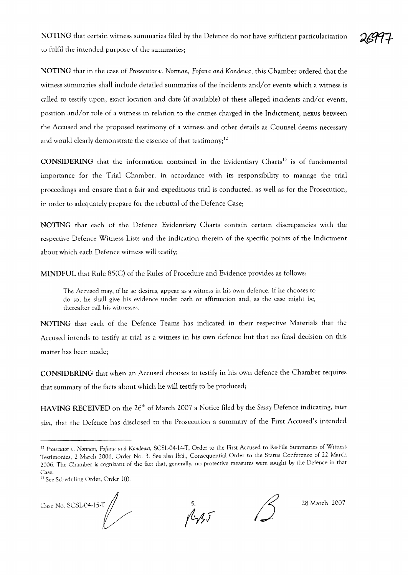NOTING that in the case of *Prosecutor v. Norman, Fofana and Kondewa,* this Chamber ordered that the witness summaries shall include detailed summaries of the incidents and/or events which a witness is called to testify upon, exact location and date (if available) of these alleged incidents and/or events, position and/or role of a witness in relation to the crimes charged in the Indictment, nexus between the Accused and the proposed testimony of a witness and other details as Counsel deems necessary and would clearly demonstrate the essence of that testimony;<sup>12</sup>

CONSIDERING that the information contained in the Evidentiary Charts<sup>13</sup> is of fundamental importance for the Trial Chamber, in accordance with its responsibility to manage the trial proceedings and ensure that a fair and expeditious trial is conducted, as well as for the Prosecution, in order to adequately prepare for the rebuttal of the Defence Case;

NOTING that each of the Defence Evidentiary Charts contain certain discrepancies with the respective Defence Witness Lists and the indication therein of the specific points of the Indictment about which each Defence witness will testify;

**MINDFUL** that Rule 85(C) of the Rules of Procedure and Evidence provides as follows:

The Accused may, if he so desires, appear as a witness in his own defence. If he chooses to do so, he shall give his evidence under oath or affirmation and, as the case might be, thereafter call his witnesses.

NOTING that each of the Defence Teams has indicated in their respective Materials that the Accused intends to testify at trial as a witness in his own defence but that no final decision on this matter has been made;

CONSIDERING that when an Accused chooses to testify in his own defence the Chamber requires that summary of the facts about which he will testify to be produced;

HAVING **RECEIVED** on the 26th of March 2007 a Notice filed by the *Sesay* Defence indicating, *inter alia,* that the Defence has disclosed to the Prosecution a summary of the First Accused's intended

 $Case No. SCSLO4-15-T$ 

 $145$ 

<sup>&</sup>lt;sup>12</sup> Prosecutor v. Norman, Fofana and Kondewa, SCSL-04-14-T, Order to the First Accused to Re-File Summaries of Witness Testimonies, 2 March 2006, Order No.3. See also Ibid., Consequential Order to the Status Conference of 22 March 2006. The Chamber is cognizant of the fact that, generally, no protective measures were sought by the Defence in that Case.

<sup>&</sup>lt;sup>13</sup> See Scheduling Order, Order 1(f).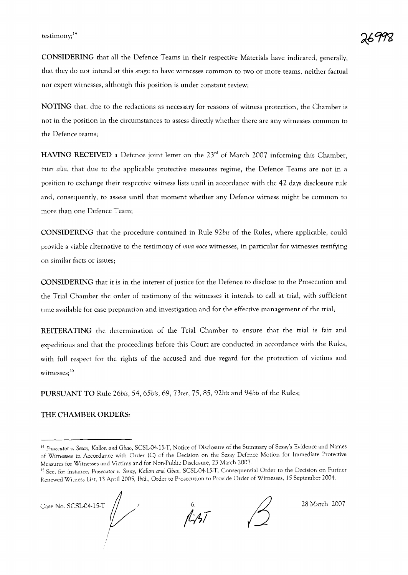**CONSIDERING** that all the Defence Teams in their respective Materials have indicated, generally, that they do not intend at this stage to have witnesses common to two or more teams, neither factual nor expert witnesses, although this position is under constant review;

**NOTING** that, due to the redactions as necessary for reasons of witness protection, the Chamber is not in the position in the circumstances to assess directly whether there are any witnesses common to the Defence teams;

**HAVING RECEIVED** a Defence joint letter on the 23<sup>rd</sup> of March 2007 informing this Chamber, inter *alia,* that due to the applicable protective measures regime, the Defence Teams are not in a position to exchange their respective witness lists until in accordance with the 42 days disclosure rule and, consequently, to assess until that moment whether any Defence witness might be common to more than one Defence Team;

**CONSIDERING** that the procedure contained in Rule *92bis* of the Rules, where applicable, could provide a viable alternative to the testimony of *viva voce* witnesses, in particular for witnesses testifying on similar facts or issues;

**CONSIDERING** that it is in the interest of justice for the Defence to disclose to the Prosecution and the Trial Chamber the order of testimony of the witnesses it intends to call at trial, with sufficient time available for case preparation and investigation and for the effective management of the trial;

**REITERATING** the determination of the Trial Chamber to ensure that the trial is fair and expeditious and that the proceedings before this Court are conducted in accordance with the Rules, with full respect for the rights of the accused and due regard for the protection of victims and witnesses;<sup>15</sup>

**PURSUANT TO** Rule *26bis,* 54, *65bis,* 69, *73ter,* 75, 85, *92bis* and *94bis* of the Rules;

### **THE CHAMBER ORDERS:**

<sup>&</sup>lt;sup>15</sup> See, for instance, *Prosecutor v. Sesay, Kallon and Gbao, SCSL-04-15-T, Consequential Order to the Decision on Further* Renewed Witness List, 13 April 2005; Ibid., Order to Prosecution to Provide Order of Wimesses, 15 September 2004.



 $A$ 

28 March 2007

<sup>14</sup> *Prosecutor v. Sesay, KaHon and Gbao,* SCSL-04-15.T, Notice of Disclosure of the Summary of Sesay's Evidence and Names of Witnesses in Accordance with Order (C) of the Decision on the Sesay Defence Motion for Immediate Protective Measures for Witnesses and Victims and for Non·Public Disclosure, 23 March 2007.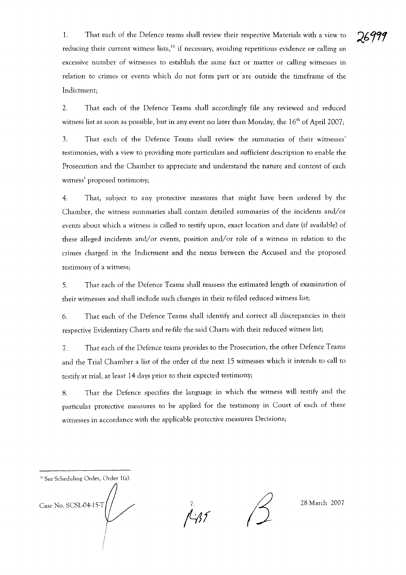1. That each of the Defence teams shall review their respective Materials with a view to reducing their current witness lists,<sup>16</sup> if necessary, avoiding repetitious evidence or calling an excessive number of witnesses to establish the same fact or matter or calling witnesses in relation to crimes or events which do not form part or are outside the timeframe of the Indictment;

2. That each of the Defence Teams shall accordingly file any reviewed and reduced witness list as soon as possible, but in any event no later than Monday, the  $16<sup>th</sup>$  of April 2007;

3. That each of the Defence Teams shall review the summaries of their witnesses' testimonies, with a view to providing more particulars and sufficient description to enable the Prosecution and the Chamber to appreciate and understand the nature and content of each witness' proposed testimony;

4. That, subject to any protective measures that might have been ordered by the Chamber, the witness summaries shall contain detailed summaries of the incidents and/or events about which a witness is called to testify upon, exact location and date (if available) of these alleged incidents and/or events, position and/or role of a witness in relation to the crimes charged in the Indictment and the nexus between the Accused and the proposed testimony of a witness;

5. That each of the Defence Teams shall reassess the estimated length of examination of their witnesses and shall include such changes in their re-filed reduced witness list;

6. That each of the Defence Teams shall identify and correct all discrepancies in their respective Evidentiary Charts and re-file the said Charts with their reduced witness list;

7. That each of the Defence teams provides to the Prosecution, the other Defence Teams and the Trial Chamber a list of the order of the next 15 witnesses which it intends to call to testify at trial, at least 14 days prior to their expected testimony;

8. That the Defence specifies the language in which the witness will testify and the particular protective measures to be applied for the testimony in Court of each of these witnesses in accordance with the applicable protective measures Decisions;

<sup>16</sup> See Scheduling Order, Order 1(a).

Case No. SCSL04-15-T $\left(\left\langle \right\rangle$ 

 $1.85$ 

28 March 2007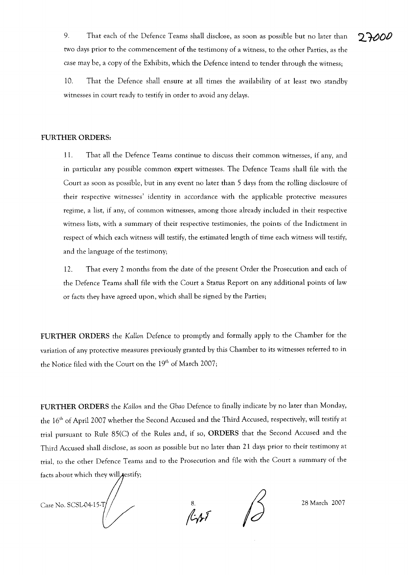9. That each of the Defence Teams shall disclose, as soon as possible but no later than two days prior to the commencement of the testimony of a witness, to the other Parties, as the case may be, a copy of the Exhibits, which the Defence intend to tender through the witness;

10. That the Defence shall ensure at all times the availability of at least two standby witnesses in court ready to testify in order to avoid any delays.

#### FURTHER ORDERS:

11. That all the Defence Teams continue to discuss their common witnesses, if any, and in particular any possible common expert witnesses. The Defence Teams shall file with the Court as soon as possible, but in any event no later than 5 days from the rolling disclosure of their respective witnesses' identity in accordance with the applicable protective measures regime, a list, if any, of common witnesses, among those already included in their respective witness lists, with a summary of their respective testimonies, the points of the Indictment in respect of which each witness will testify, the estimated length of time each witness will testify, and the language of the testimony;

12. That every 2 months from the date of the present Order the Prosecution and each of the Defence Teams shall file with the Court a Status Report on any additional points of law or facts they have agreed upon, which shall be signed by the Parties;

FURTHER ORDERS the *Kallon Defence to promptly and formally apply to the Chamber for the* variation of any protective measures previously granted by this Chamber to its witnesses referred to in the Notice filed with the Court on the 19th of March 2007;

FURTHER ORDERS the *KaHan* and the *Gbaa* Defence to finally indicate by no later than Monday, the 16<sup>th</sup> of April 2007 whether the Second Accused and the Third Accused, respectively, will testify at trial pursuant to Rule 85(C) of the Rules and, if so, ORDERS that the Second Accused and the Third Accused shall disclose, as soon as possible but no later than 21 days prior to their testimony at trial, to the other Defence Teams and to the Prosecution and file with the Court a summary of the facts about which they will restify;

Case No. SCSL04-15- $T \left/ \right/$ 

 $\int_0^{\infty} 1$ 

28 March 2007